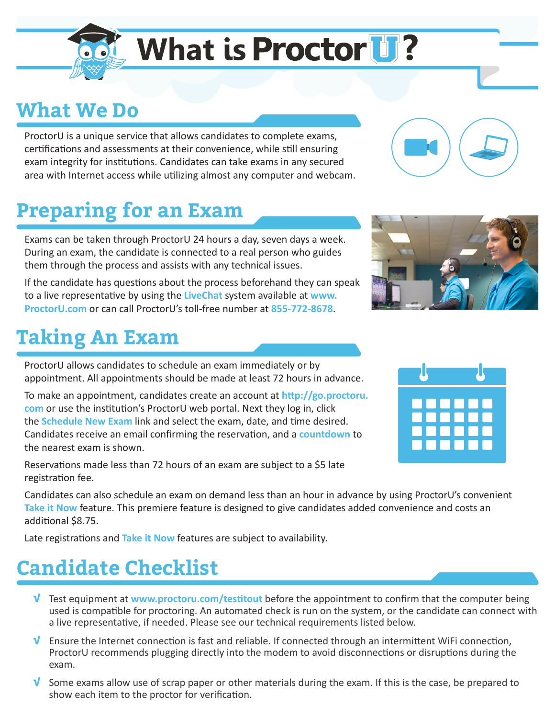# **What is Proctor U?**

## **What We Do**

ProctorU is a unique service that allows candidates to complete exams, certifications and assessments at their convenience, while still ensuring exam integrity for institutions. Candidates can take exams in any secured area with Internet access while utilizing almost any computer and webcam.

## **Preparing for an Exam**

Exams can be taken through ProctorU 24 hours a day, seven days a week. During an exam, the candidate is connected to a real person who guides them through the process and assists with any technical issues.

If the candidate has questions about the process beforehand they can speak to a live representative by using the **LiveChat** system available at **www. ProctorU.com** or can call ProctorU's toll-free number at **855-772-8678**.

#### **Taking An Exam**

ProctorU allows candidates to schedule an exam immediately or by appointment. All appointments should be made at least 72 hours in advance.

To make an appointment, candidates create an account at **[http://go.proctoru.](http://go.proctoru.com) [com](http://go.proctoru.com)** or use the institution's ProctorU web portal. Next they log in, click the **Schedule New Exam** link and select the exam, date, and time desired. Candidates receive an email confirming the reservation, and a **countdown** to the nearest exam is shown.

Reservations made less than 72 hours of an exam are subject to a \$5 late registration fee.

Candidates can also schedule an exam on demand less than an hour in advance by using ProctorU's convenient **Take it Now** feature. This premiere feature is designed to give candidates added convenience and costs an additional \$8.75.

Late registrations and **Take it Now** features are subject to availability.

# **Candidate Checklist**

- **√** Test equipment at **[www.proctoru.com/t](http://www.proctoru.com/helpdesk)estitout** before the appointment to confirm that the computer being used is compatible for proctoring. An automated check is run on the system, or the candidate can connect with a live representative, if needed. Please see our technical requirements listed below.
- **√** Ensure the Internet connection is fast and reliable. If connected through an intermittent WiFi connection, ProctorU recommends plugging directly into the modem to avoid disconnections or disruptions during the exam.
- **√** Some exams allow use of scrap paper or other materials during the exam. If this is the case, be prepared to show each item to the proctor for verification.